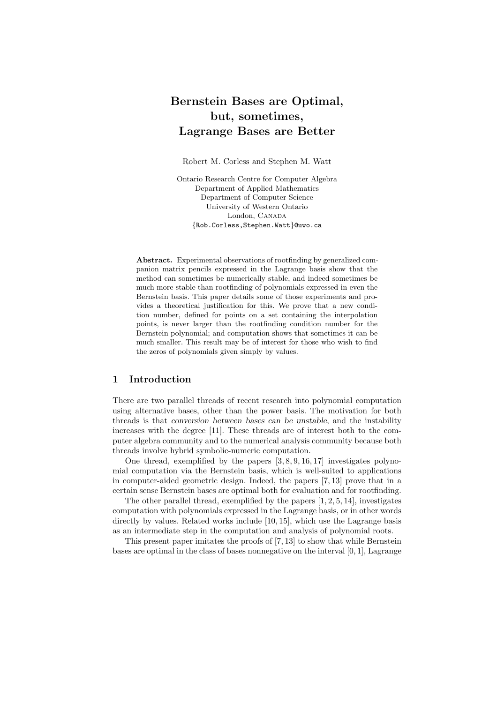# Bernstein Bases are Optimal, but, sometimes, Lagrange Bases are Better

Robert M. Corless and Stephen M. Watt

Ontario Research Centre for Computer Algebra Department of Applied Mathematics Department of Computer Science University of Western Ontario London, CANADA {Rob.Corless,Stephen.Watt}@uwo.ca

Abstract. Experimental observations of rootfinding by generalized companion matrix pencils expressed in the Lagrange basis show that the method can sometimes be numerically stable, and indeed sometimes be much more stable than rootfinding of polynomials expressed in even the Bernstein basis. This paper details some of those experiments and provides a theoretical justification for this. We prove that a new condition number, defined for points on a set containing the interpolation points, is never larger than the rootfinding condition number for the Bernstein polynomial; and computation shows that sometimes it can be much smaller. This result may be of interest for those who wish to find the zeros of polynomials given simply by values.

# 1 Introduction

There are two parallel threads of recent research into polynomial computation using alternative bases, other than the power basis. The motivation for both threads is that conversion between bases can be unstable, and the instability increases with the degree [11]. These threads are of interest both to the computer algebra community and to the numerical analysis community because both threads involve hybrid symbolic-numeric computation.

One thread, exemplified by the papers [3, 8, 9, 16, 17] investigates polynomial computation via the Bernstein basis, which is well-suited to applications in computer-aided geometric design. Indeed, the papers [7, 13] prove that in a certain sense Bernstein bases are optimal both for evaluation and for rootfinding.

The other parallel thread, exemplified by the papers  $[1, 2, 5, 14]$ , investigates computation with polynomials expressed in the Lagrange basis, or in other words directly by values. Related works include [10, 15], which use the Lagrange basis as an intermediate step in the computation and analysis of polynomial roots.

This present paper imitates the proofs of [7, 13] to show that while Bernstein bases are optimal in the class of bases nonnegative on the interval [0, 1], Lagrange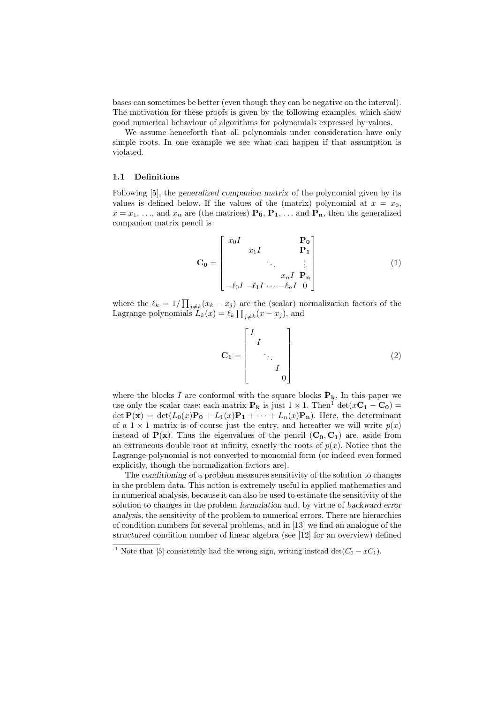bases can sometimes be better (even though they can be negative on the interval). The motivation for these proofs is given by the following examples, which show good numerical behaviour of algorithms for polynomials expressed by values.

We assume henceforth that all polynomials under consideration have only simple roots. In one example we see what can happen if that assumption is violated.

#### 1.1 Definitions

Following [5], the generalized companion matrix of the polynomial given by its values is defined below. If the values of the (matrix) polynomial at  $x = x_0$ ,  $x = x_1, \ldots$ , and  $x_n$  are (the matrices)  $P_0, P_1, \ldots$  and  $P_n$ , then the generalized companion matrix pencil is

$$
\mathbf{C_0} = \begin{bmatrix} x_0 I & \mathbf{P_0} \\ x_1 I & \mathbf{P_1} \\ \cdot & \cdot & \cdot \\ x_n I & \mathbf{P_n} \\ -\ell_0 I & -\ell_1 I & \cdot \cdot \cdot -\ell_n I & 0 \end{bmatrix}
$$
 (1)

where the  $\ell_k = 1/\prod$  $j \neq k$   $(x_k - x_j)$  are the (scalar) normalization factors of the Lagrange polynomials  $L_k(x) = \ell_k \prod_{j \neq k} (x - x_j)$ , and

$$
\mathbf{C_1} = \begin{bmatrix} I & & \\ & I & \\ & & \ddots & \\ & & & I \\ & & & & 0 \end{bmatrix}
$$
 (2)

where the blocks I are conformal with the square blocks  $P_k$ . In this paper we use only the scalar case: each matrix  $P_k$  is just  $1 \times 1$ . Then<sup>1</sup> det( $xC_1 - C_0$ ) = det  $\mathbf{P}(\mathbf{x}) = \det(L_0(x)\mathbf{P_0} + L_1(x)\mathbf{P_1} + \cdots + L_n(x)\mathbf{P_n})$ . Here, the determinant of a  $1 \times 1$  matrix is of course just the entry, and hereafter we will write  $p(x)$ instead of  $P(x)$ . Thus the eigenvalues of the pencil  $(C_0, C_1)$  are, aside from an extraneous double root at infinity, exactly the roots of  $p(x)$ . Notice that the Lagrange polynomial is not converted to monomial form (or indeed even formed explicitly, though the normalization factors are).

The conditioning of a problem measures sensitivity of the solution to changes in the problem data. This notion is extremely useful in applied mathematics and in numerical analysis, because it can also be used to estimate the sensitivity of the solution to changes in the problem formulation and, by virtue of backward error analysis, the sensitivity of the problem to numerical errors. There are hierarchies of condition numbers for several problems, and in [13] we find an analogue of the structured condition number of linear algebra (see [12] for an overview) defined

<sup>&</sup>lt;sup>1</sup> Note that [5] consistently had the wrong sign, writing instead det( $C_0 - xC_1$ ).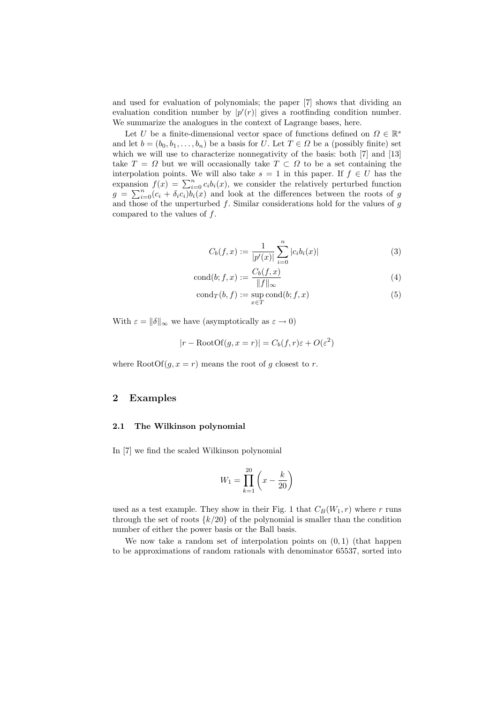and used for evaluation of polynomials; the paper [7] shows that dividing an evaluation condition number by  $|p'(r)|$  gives a rootfinding condition number. We summarize the analogues in the context of Lagrange bases, here.

Let U be a finite-dimensional vector space of functions defined on  $\Omega \in \mathbb{R}^s$ and let  $b = (b_0, b_1, \ldots, b_n)$  be a basis for U. Let  $T \in \Omega$  be a (possibly finite) set which we will use to characterize nonnegativity of the basis: both [7] and [13] take  $T = \Omega$  but we will occasionally take  $T \subset \Omega$  to be a set containing the interpolation points. We will also take  $s = 1$  in this paper. If  $f \in U$  has the interpolation points. We will also take  $s = 1$  in this paper. If  $f \in U$  has the expansion  $f(x) = \sum_{i=0}^{n} c_i b_i(x)$ , we consider the relatively perturbed function  $g = \sum_{i=0}^{n} (c_i + \delta_i c_i) b_i(x)$  and look at the differences between the roots of g and those of the unperturbed  $f$ . Similar considerations hold for the values of  $g$ compared to the values of  $f$ .

$$
C_b(f, x) := \frac{1}{|p'(x)|} \sum_{i=0}^{n} |c_i b_i(x)| \tag{3}
$$

$$
cond(b; f, x) := \frac{C_b(f, x)}{\|f\|_{\infty}}
$$
\n<sup>(4)</sup>

$$
condT(b, f) := \sup_{x \in T} cond(b; f, x)
$$
\n(5)

With  $\varepsilon = \|\delta\|_{\infty}$  we have (asymptotically as  $\varepsilon \to 0)$ 

$$
|r - \text{RootOf}(g, x = r)| = C_b(f, r)\varepsilon + O(\varepsilon^2)
$$

where  $RootOf(g, x = r)$  means the root of g closest to r.

## 2 Examples

### 2.1 The Wilkinson polynomial

In [7] we find the scaled Wilkinson polynomial

$$
W_1 = \prod_{k=1}^{20} \left( x - \frac{k}{20} \right)
$$

used as a test example. They show in their Fig. 1 that  $C_B(W_1, r)$  where r runs through the set of roots  $\{k/20\}$  of the polynomial is smaller than the condition number of either the power basis or the Ball basis.

We now take a random set of interpolation points on  $(0, 1)$  (that happen to be approximations of random rationals with denominator 65537, sorted into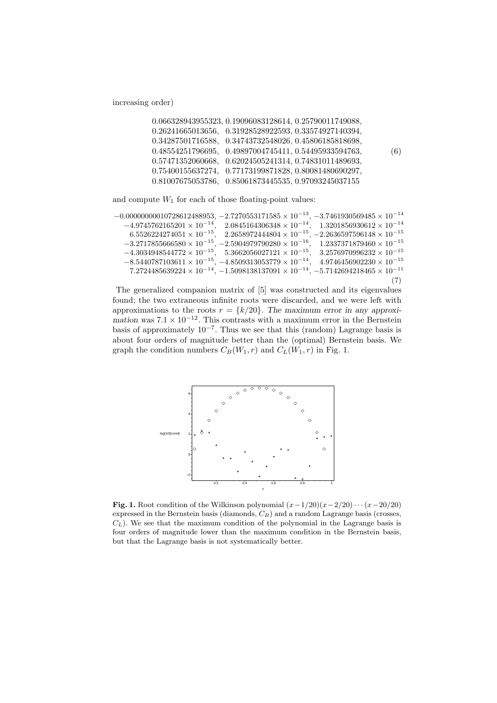increasing order)

```
0.066328943955323, 0.19096083128614, 0.25790011749088,
0.26241665013656, 0.31928528922593, 0.33574927140394,
0.34287501716588, 0.34743732548026, 0.45806185818698,
0.48554251796695, 0.49897004745411, 0.54495933594763,
0.57471352060668, 0.62024505241314, 0.74831011489693,
0.75400155637274, 0.77173199871828, 0.80081480690297,
0.81007675053786, 0.85061873445535, 0.97093245037155
                                                             (6)
```
and compute  $W_1$  for each of those floating-point values:

```
-0.00000000010728612488953, -2.7270553171585 \times 10^{-13}, -3.7461930569485 \times 10^{-14}-4.9745762165201 \times 10^{-14}, 2.0845164306348 \times 10^{-14}, 1.3201856930612 \times 10^{-14}6.5526224274051\times10^{-15}, 2.2658972444804\times10^{-15}, -2.2636597596148\times10^{-15}-3.2717855666580 \times 10^{-15}, -2.5904979790280 \times 10^{-16}, 1.2337371879460 \times 10^{-15}-4.3034948544772 \times 10^{-15}, 5.3662056027121 \times 10^{-15}, 3.2576970996232 \times 10^{-15}-8.5440787103611 \times 10^{-15}, -4.8509313053779 \times 10^{-14}, -4.9746456902230 \times 10^{-15}7.2724485639224\times 10^{-14}, -1.5098138137091\times 10^{-14}, -5.7142694218465\times 10^{-11}(7)
```
The generalized companion matrix of [5] was constructed and its eigenvalues found; the two extraneous infinite roots were discarded, and we were left with approximations to the roots  $r = \{k/20\}$ . The maximum error in any approximation was  $7.1 \times 10^{-12}$ . This contrasts with a maximum error in the Bernstein basis of approximately  $10^{-7}$ . Thus we see that this (random) Lagrange basis is about four orders of magnitude better than the (optimal) Bernstein basis. We graph the condition numbers  $C_B(W_1, r)$  and  $C_L(W_1, r)$  in Fig. 1.



Fig. 1. Root condition of the Wilkinson polynomial  $(x-1/20)(x-2/20)\cdots(x-20/20)$ expressed in the Bernstein basis (diamonds,  $C_B$ ) and a random Lagrange basis (crosses,  $C<sub>L</sub>$ ). We see that the maximum condition of the polynomial in the Lagrange basis is four orders of magnitude lower than the maximum condition in the Bernstein basis, but that the Lagrange basis is not systematically better.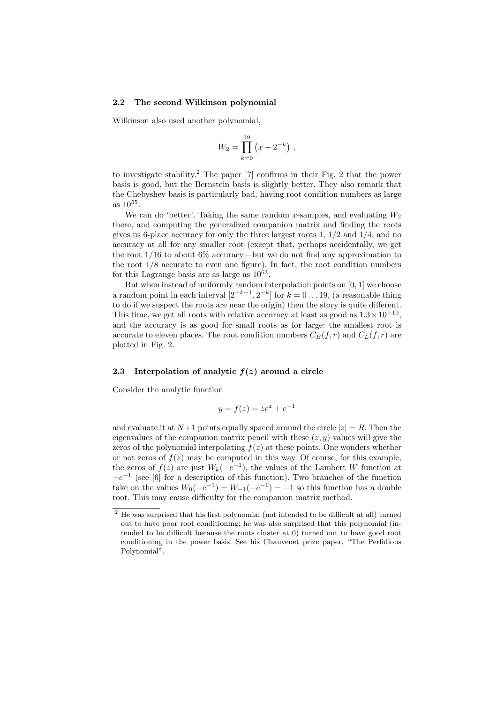#### 2.2 The second Wilkinson polynomial

Wilkinson also used another polynomial,

$$
W_2 = \prod_{k=0}^{19} (x - 2^{-k}),
$$

to investigate stability.<sup>2</sup> The paper [7] confirms in their Fig. 2 that the power basis is good, but the Bernstein basis is slightly better. They also remark that the Chebyshev basis is particularly bad, having root condition numbers as large  $as\ 10^{55}$ .

We can do 'better'. Taking the same random x-samples, and evaluating  $W_2$ there, and computing the generalized companion matrix and finding the roots gives us 6-place accuracy for only the three largest roots 1,  $1/2$  and  $1/4$ , and no accuracy at all for any smaller root (except that, perhaps accidentally, we get the root  $1/16$  to about  $6\%$  accuracy—but we do not find any approximation to the root 1/8 accurate to even one figure). In fact, the root condition numbers for this Lagrange basis are as large as  $10^{63}$ .

But when instead of uniformly random interpolation points on  $[0, 1]$  we choose a random point in each interval  $[2^{-k-1}, 2^{-k}]$  for  $k = 0 \dots 19$ , (a reasonable thing to do if we suspect the roots are near the origin) then the story is quite different. This time, we get all roots with relative accuracy at least as good as  $1.3 \times 10^{-10}$ , and the accuracy is as good for small roots as for large: the smallest root is accurate to eleven places. The root condition numbers  $C_B(f, r)$  and  $C_L(f, r)$  are plotted in Fig. 2.

#### 2.3 Interpolation of analytic  $f(z)$  around a circle

Consider the analytic function

$$
y = f(z) = ze^z + e^{-1}
$$

and evaluate it at  $N+1$  points equally spaced around the circle  $|z|=R$ . Then the eigenvalues of the companion matrix pencil with these  $(z, y)$  values will give the zeros of the polynomial interpolating  $f(z)$  at these points. One wonders whether or not zeros of  $f(z)$  may be computed in this way. Of course, for this example, the zeros of  $f(z)$  are just  $W_k(-e^{-1})$ , the values of the Lambert W function at  $-e^{-1}$  (see [6] for a description of this function). Two branches of the function take on the values  $W_0(-e^{-1}) = W_{-1}(-e^{-1}) = -1$  so this function has a double root. This may cause difficulty for the companion matrix method.

 $2$  He was surprised that his first polynomial (not intended to be difficult at all) turned out to have poor root conditioning; he was also surprised that this polynomial (intended to be difficult because the roots cluster at 0) turned out to have good root conditioning in the power basis. See his Chauvenet prize paper, "The Perfidious Polynomial".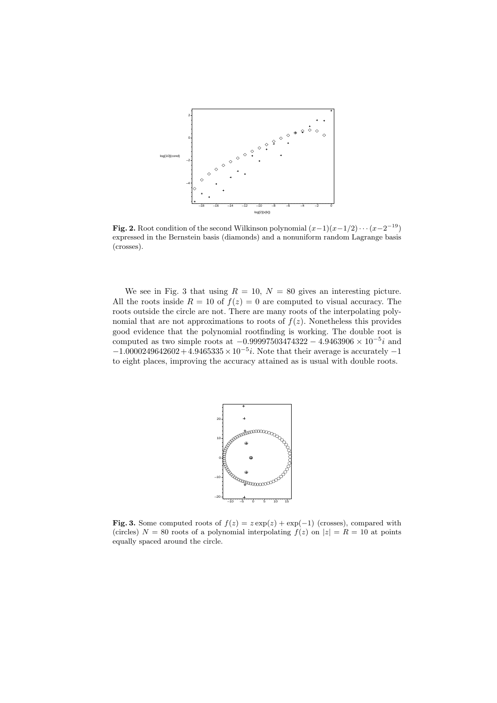

**Fig. 2.** Root condition of the second Wilkinson polynomial  $(x-1)(x-1/2)\cdots(x-2^{-19})$ expressed in the Bernstein basis (diamonds) and a nonuniform random Lagrange basis (crosses).

We see in Fig. 3 that using  $R = 10$ ,  $N = 80$  gives an interesting picture. All the roots inside  $R = 10$  of  $f(z) = 0$  are computed to visual accuracy. The roots outside the circle are not. There are many roots of the interpolating polynomial that are not approximations to roots of  $f(z)$ . Nonetheless this provides good evidence that the polynomial rootfinding is working. The double root is computed as two simple roots at  $-0.99997503474322 - 4.9463906 \times 10^{-5}i$  and  $-1.0000249642602 + 4.9465335 \times 10^{-5}i$ . Note that their average is accurately  $-1$ to eight places, improving the accuracy attained as is usual with double roots.



Fig. 3. Some computed roots of  $f(z) = z \exp(z) + \exp(-1)$  (crosses), compared with (circles)  $N = 80$  roots of a polynomial interpolating  $f(z)$  on  $|z| = R = 10$  at points equally spaced around the circle.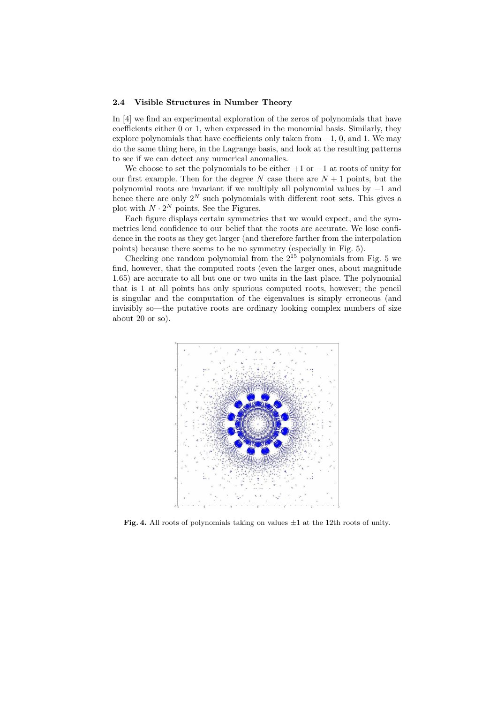#### 2.4 Visible Structures in Number Theory

In [4] we find an experimental exploration of the zeros of polynomials that have coefficients either 0 or 1, when expressed in the monomial basis. Similarly, they explore polynomials that have coefficients only taken from  $-1$ , 0, and 1. We may do the same thing here, in the Lagrange basis, and look at the resulting patterns to see if we can detect any numerical anomalies.

We choose to set the polynomials to be either  $+1$  or  $-1$  at roots of unity for our first example. Then for the degree N case there are  $N + 1$  points, but the polynomial roots are invariant if we multiply all polynomial values by −1 and hence there are only  $2^N$  such polynomials with different root sets. This gives a plot with  $N \cdot 2^N$  points. See the Figures.

Each figure displays certain symmetries that we would expect, and the symmetries lend confidence to our belief that the roots are accurate. We lose confidence in the roots as they get larger (and therefore farther from the interpolation points) because there seems to be no symmetry (especially in Fig. 5).

Checking one random polynomial from the  $2^{15}$  polynomials from Fig. 5 we find, however, that the computed roots (even the larger ones, about magnitude 1.65) are accurate to all but one or two units in the last place. The polynomial that is 1 at all points has only spurious computed roots, however; the pencil is singular and the computation of the eigenvalues is simply erroneous (and invisibly so—the putative roots are ordinary looking complex numbers of size about 20 or so).



Fig. 4. All roots of polynomials taking on values  $\pm 1$  at the 12th roots of unity.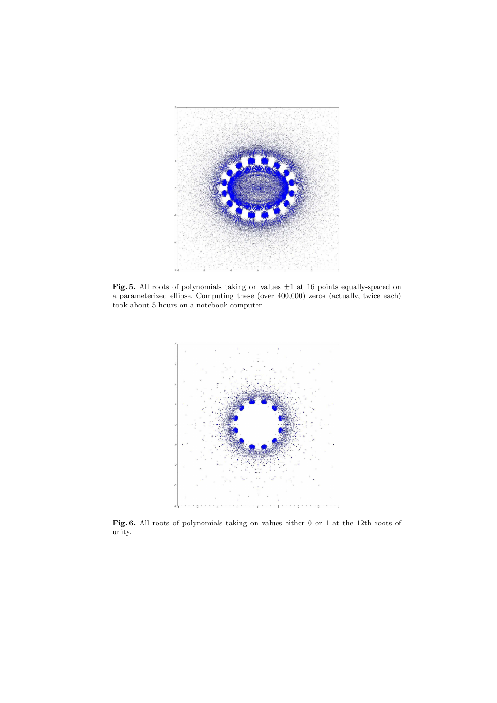

Fig. 5. All roots of polynomials taking on values  $\pm 1$  at 16 points equally-spaced on a parameterized ellipse. Computing these (over 400,000) zeros (actually, twice each) took about 5 hours on a notebook computer.



Fig. 6. All roots of polynomials taking on values either 0 or 1 at the 12th roots of unity.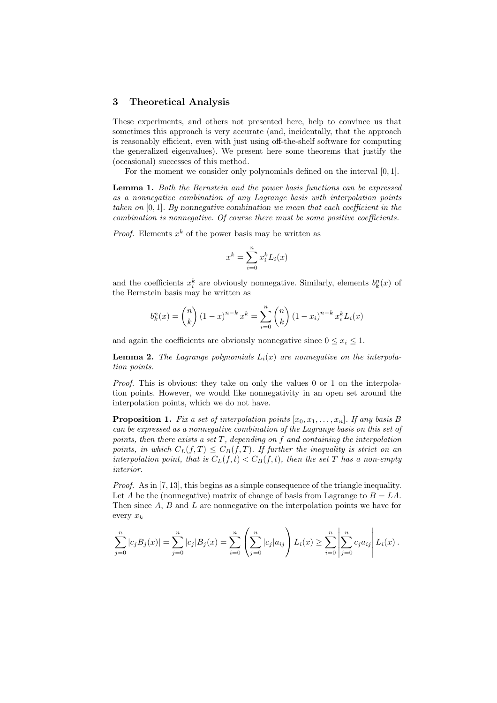## 3 Theoretical Analysis

These experiments, and others not presented here, help to convince us that sometimes this approach is very accurate (and, incidentally, that the approach is reasonably efficient, even with just using off-the-shelf software for computing the generalized eigenvalues). We present here some theorems that justify the (occasional) successes of this method.

For the moment we consider only polynomials defined on the interval [0, 1].

Lemma 1. Both the Bernstein and the power basis functions can be expressed as a nonnegative combination of any Lagrange basis with interpolation points taken on  $[0, 1]$ . By nonnegative combination we mean that each coefficient in the combination is nonnegative. Of course there must be some positive coefficients.

*Proof.* Elements  $x^k$  of the power basis may be written as

$$
x^k = \sum_{i=0}^n x_i^k L_i(x)
$$

and the coefficients  $x_i^k$  are obviously nonnegative. Similarly, elements  $b_k^n(x)$  of the Bernstein basis may be written as

$$
b_k^n(x) = \binom{n}{k} (1-x)^{n-k} x^k = \sum_{i=0}^n \binom{n}{k} (1-x_i)^{n-k} x_i^k L_i(x)
$$

and again the coefficients are obviously nonnegative since  $0 \le x_i \le 1$ .

**Lemma 2.** The Lagrange polynomials  $L_i(x)$  are nonnegative on the interpolation points.

Proof. This is obvious: they take on only the values 0 or 1 on the interpolation points. However, we would like nonnegativity in an open set around the interpolation points, which we do not have.

**Proposition 1.** Fix a set of interpolation points  $[x_0, x_1, \ldots, x_n]$ . If any basis B can be expressed as a nonnegative combination of the Lagrange basis on this set of points, then there exists a set T, depending on f and containing the interpolation points, in which  $C_L(f,T) \leq C_B(f,T)$ . If further the inequality is strict on an interpolation point, that is  $C_L(f,t) < C_B(f,t)$ , then the set T has a non-empty interior.

Proof. As in [7, 13], this begins as a simple consequence of the triangle inequality. Let A be the (nonnegative) matrix of change of basis from Lagrange to  $B = LA$ . Then since  $A$ ,  $B$  and  $L$  are nonnegative on the interpolation points we have for every  $x_k$ 

$$
\sum_{j=0}^{n} |c_j B_j(x)| = \sum_{j=0}^{n} |c_j| B_j(x) = \sum_{i=0}^{n} \left( \sum_{j=0}^{n} |c_j| a_{ij} \right) L_i(x) \ge \sum_{i=0}^{n} \left| \sum_{j=0}^{n} c_j a_{ij} \right| L_i(x).
$$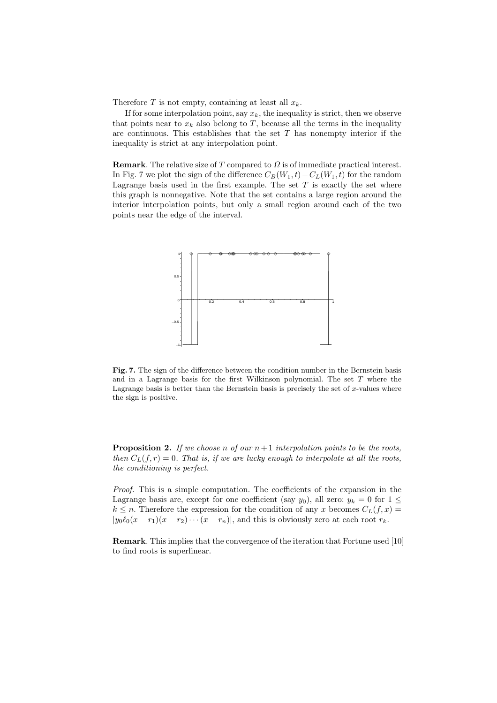Therefore T is not empty, containing at least all  $x_k$ .

If for some interpolation point, say  $x_k$ , the inequality is strict, then we observe that points near to  $x_k$  also belong to T, because all the terms in the inequality are continuous. This establishes that the set  $T$  has nonempty interior if the inequality is strict at any interpolation point.

**Remark**. The relative size of T compared to  $\Omega$  is of immediate practical interest. In Fig. 7 we plot the sign of the difference  $C_B(W_1, t) - C_L(W_1, t)$  for the random Lagrange basis used in the first example. The set  $T$  is exactly the set where this graph is nonnegative. Note that the set contains a large region around the interior interpolation points, but only a small region around each of the two points near the edge of the interval.



Fig. 7. The sign of the difference between the condition number in the Bernstein basis and in a Lagrange basis for the first Wilkinson polynomial. The set T where the Lagrange basis is better than the Bernstein basis is precisely the set of  $x$ -values where the sign is positive.

**Proposition 2.** If we choose n of our  $n+1$  interpolation points to be the roots, then  $C_L(f, r) = 0$ . That is, if we are lucky enough to interpolate at all the roots, the conditioning is perfect.

Proof. This is a simple computation. The coefficients of the expansion in the Lagrange basis are, except for one coefficient (say  $y_0$ ), all zero:  $y_k = 0$  for  $1 \le$  $k \leq n$ . Therefore the expression for the condition of any x becomes  $C_L(f, x) =$  $|y_0\ell_0(x - r_1)(x - r_2)\cdots(x - r_n)|$ , and this is obviously zero at each root  $r_k$ .

Remark. This implies that the convergence of the iteration that Fortune used [10] to find roots is superlinear.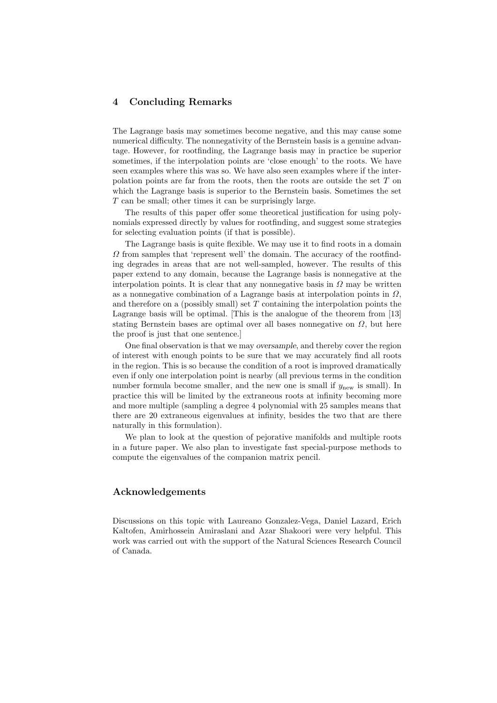## 4 Concluding Remarks

The Lagrange basis may sometimes become negative, and this may cause some numerical difficulty. The nonnegativity of the Bernstein basis is a genuine advantage. However, for rootfinding, the Lagrange basis may in practice be superior sometimes, if the interpolation points are 'close enough' to the roots. We have seen examples where this was so. We have also seen examples where if the interpolation points are far from the roots, then the roots are outside the set T on which the Lagrange basis is superior to the Bernstein basis. Sometimes the set T can be small; other times it can be surprisingly large.

The results of this paper offer some theoretical justification for using polynomials expressed directly by values for rootfinding, and suggest some strategies for selecting evaluation points (if that is possible).

The Lagrange basis is quite flexible. We may use it to find roots in a domain  $\Omega$  from samples that 'represent well' the domain. The accuracy of the rootfinding degrades in areas that are not well-sampled, however. The results of this paper extend to any domain, because the Lagrange basis is nonnegative at the interpolation points. It is clear that any nonnegative basis in  $\Omega$  may be written as a nonnegative combination of a Lagrange basis at interpolation points in  $\Omega$ , and therefore on a (possibly small) set  $T$  containing the interpolation points the Lagrange basis will be optimal. [This is the analogue of the theorem from [13] stating Bernstein bases are optimal over all bases nonnegative on  $\Omega$ , but here the proof is just that one sentence.]

One final observation is that we may oversample, and thereby cover the region of interest with enough points to be sure that we may accurately find all roots in the region. This is so because the condition of a root is improved dramatically even if only one interpolation point is nearby (all previous terms in the condition number formula become smaller, and the new one is small if  $y_{\text{new}}$  is small). In practice this will be limited by the extraneous roots at infinity becoming more and more multiple (sampling a degree 4 polynomial with 25 samples means that there are 20 extraneous eigenvalues at infinity, besides the two that are there naturally in this formulation).

We plan to look at the question of pejorative manifolds and multiple roots in a future paper. We also plan to investigate fast special-purpose methods to compute the eigenvalues of the companion matrix pencil.

## Acknowledgements

Discussions on this topic with Laureano Gonzalez-Vega, Daniel Lazard, Erich Kaltofen, Amirhossein Amiraslani and Azar Shakoori were very helpful. This work was carried out with the support of the Natural Sciences Research Council of Canada.